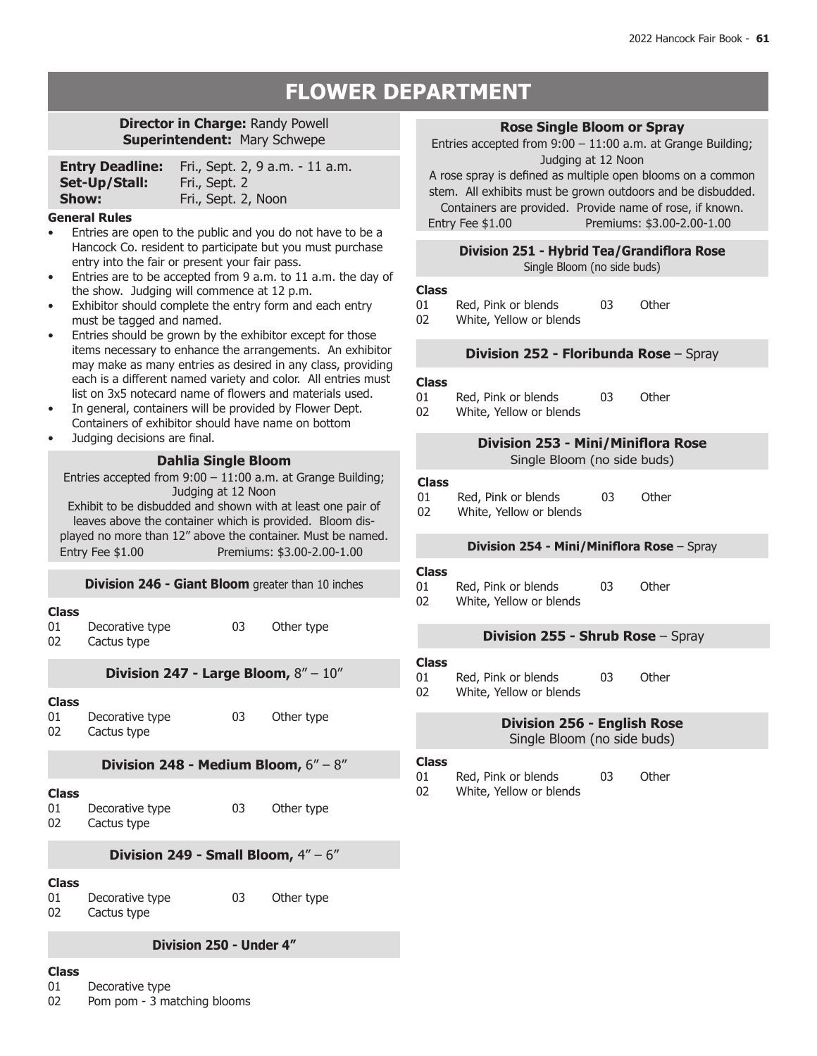# **FLOWER DEPARTMENT**

### **Director in Charge:** Randy Powell **Superintendent:** Mary Schwepe

| <b>Entry Deadline:</b> | Fri., Sept. 2, 9 a.m. - 11 a.m. |
|------------------------|---------------------------------|
| Set-Up/Stall:          | Fri., Sept. 2                   |
| Show:                  | Fri., Sept. 2, Noon             |

#### **General Rules**

- Entries are open to the public and you do not have to be a Hancock Co. resident to participate but you must purchase entry into the fair or present your fair pass.
- Entries are to be accepted from 9 a.m. to 11 a.m. the day of the show. Judging will commence at 12 p.m.
- Exhibitor should complete the entry form and each entry must be tagged and named.
- Entries should be grown by the exhibitor except for those items necessary to enhance the arrangements. An exhibitor may make as many entries as desired in any class, providing each is a different named variety and color. All entries must list on 3x5 notecard name of flowers and materials used.
- In general, containers will be provided by Flower Dept. Containers of exhibitor should have name on bottom
- Judging decisions are final.

#### **Dahlia Single Bloom**

Entries accepted from 9:00 – 11:00 a.m. at Grange Building; Judging at 12 Noon

Exhibit to be disbudded and shown with at least one pair of leaves above the container which is provided. Bloom displayed no more than 12" above the container. Must be named. Entry Fee \$1.00 Premiums: \$3.00-2.00-1.00

#### **Division 246 - Giant Bloom** greater than 10 inches

#### **Class**

01 Decorative type 02 Cactus type 03 Other type

#### **Division 247 - Large Bloom,** 8" – 10"

**Class** Decorative type 02 Cactus type 03 Other type

#### **Division 248 - Medium Bloom,** 6" – 8"

#### **Class**

01 Decorative type 02 Cactus type 03 Other type

# **Division 249 - Small Bloom,** 4" – 6"

#### **Class**

01 Decorative type 02 Cactus type 03 Other type

#### **Division 250 - Under 4"**

# **Class**

- 01 Decorative type
- 02 Pom pom 3 matching blooms

#### **Rose Single Bloom or Spray**

Entries accepted from 9:00 – 11:00 a.m. at Grange Building; Judging at 12 Noon

A rose spray is defined as multiple open blooms on a common stem. All exhibits must be grown outdoors and be disbudded.

Containers are provided. Provide name of rose, if known. Entry Fee \$1.00 Premiums: \$3.00-2.00-1.00

### **Division 251 - Hybrid Tea/Grandiflora Rose**

Single Bloom (no side buds)

#### **Class**

- 01 Red, Pink or blends 03 Other
- 02 White, Yellow or blends

#### **Division 252 - Floribunda Rose** – Spray

#### **Class**

- 01 Red, Pink or blends<br>02 White, Yellow or ble 03 Other
- White, Yellow or blends

# **Division 253 - Mini/Miniflora Rose**

Single Bloom (no side buds)

# **Class**

01 Red, Pink or blends<br>02 White, Yellow or ble White, Yellow or blends 03 Other

#### **Division 254 - Mini/Miniflora Rose** – Spray

# **Class**

- 01 Red, Pink or blends<br>02 White, Yellow or ble 03 Other
- White, Yellow or blends

#### **Division 255 - Shrub Rose** – Spray

# **Class**

- 01 Red, Pink or blends<br>02 White, Yellow or ble 03 Other
- White, Yellow or blends

### **Division 256 - English Rose** Single Bloom (no side buds)

#### **Class**

- 01 Red, Pink or blends<br>02 White, Yellow or ble 03 Other
- White, Yellow or blends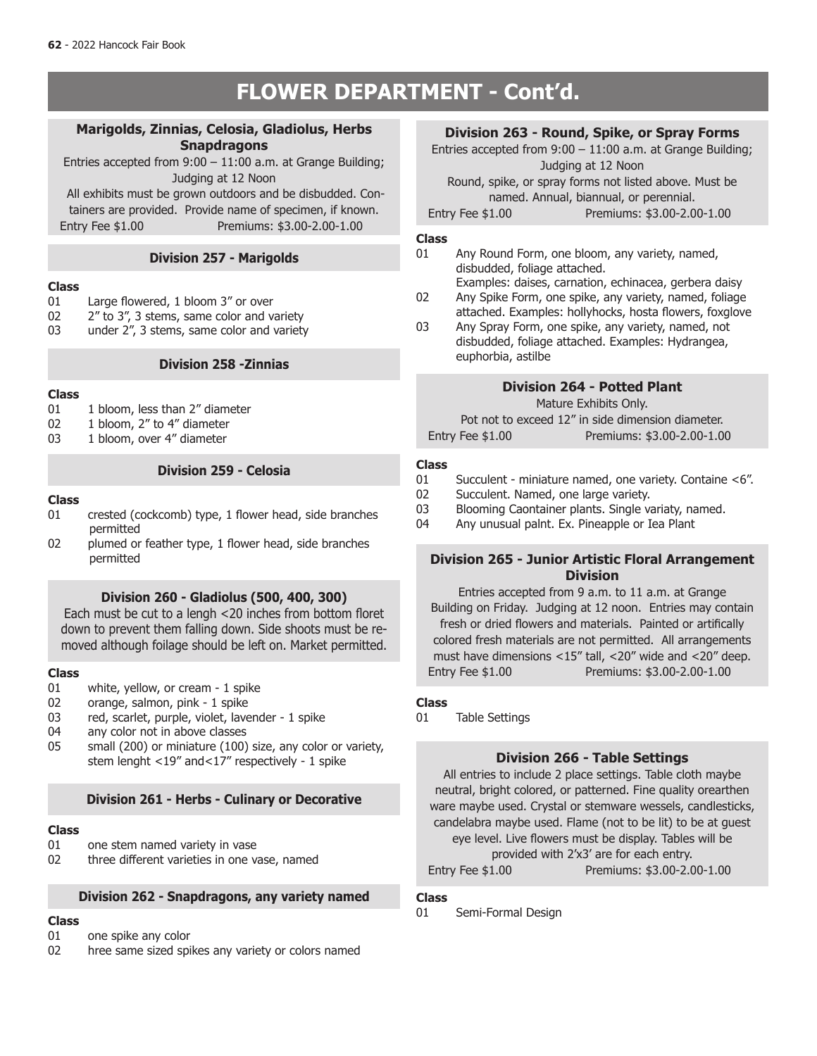# **FLOWER DEPARTMENT - Cont'd.**

### **Marigolds, Zinnias, Celosia, Gladiolus, Herbs Snapdragons**

Entries accepted from 9:00 – 11:00 a.m. at Grange Building; Judging at 12 Noon

 All exhibits must be grown outdoors and be disbudded. Containers are provided. Provide name of specimen, if known. Entry Fee \$1.00 Premiums: \$3.00-2.00-1.00

# **Division 257 - Marigolds**

#### **Class**

- 01 Large flowered, 1 bloom  $3''$  or over<br>02  $2''$  to  $3''$ . 3 stems, same color and v.
- 2" to 3", 3 stems, same color and variety
- 03 under 2", 3 stems, same color and variety

### **Division 258 -Zinnias**

# **Class**

- 01 1 bloom, less than  $2''$  diameter<br>02 1 bloom,  $2''$  to  $4''$  diameter
- 02 1 bloom, 2" to 4" diameter<br>03 1 bloom, over 4" diameter
- 1 bloom, over 4" diameter

### **Division 259 - Celosia**

#### **Class**

- 01 crested (cockcomb) type, 1 flower head, side branches permitted<br>02 plumed.or
- plumed or feather type, 1 flower head, side branches

#### **Division 260 - Gladiolus (500, 400, 300)**

Each must be cut to a lengh <20 inches from bottom floret down to prevent them falling down. Side shoots must be removed although foilage should be left on. Market permitted.

# **Class**

- 01 white, yellow, or cream 1 spike<br>02 orange, salmon, pink 1 spike
- orange, salmon, pink 1 spike
- 03 red, scarlet, purple, violet, lavender 1 spike<br>04 any color not in above classes
- 04 any color not in above classes<br>05 small (200) or miniature (100)
- small (200) or miniature (100) size, any color or variety, stem lenght <19" and<17" respectively - 1 spike

# **Division 261 - Herbs - Culinary or Decorative**

# **Class**

- one stem named variety in vase
- 02 three different varieties in one vase, named

# **Division 262 - Snapdragons, any variety named**

# **Class**

- 01 one spike any color
- 02 hree same sized spikes any variety or colors named

# **Division 263 - Round, Spike, or Spray Forms**

Entries accepted from 9:00 – 11:00 a.m. at Grange Building; Judging at 12 Noon Round, spike, or spray forms not listed above. Must be named. Annual, biannual, or perennial.

Entry Fee \$1.00 Premiums: \$3.00-2.00-1.00

#### **Class**

- 01 Any Round Form, one bloom, any variety, named, disbudded, foliage attached.
- Examples: daises, carnation, echinacea, gerbera daisy 02 Any Spike Form, one spike, any variety, named, foliage
- attached. Examples: hollyhocks, hosta flowers, foxglove 03 Any Spray Form, one spike, any variety, named, not
- disbudded, foliage attached. Examples: Hydrangea, euphorbia, astilbe

# **Division 264 - Potted Plant**

Mature Exhibits Only.

Pot not to exceed 12" in side dimension diameter. Entry Fee \$1.00 Premiums: \$3.00-2.00-1.00

#### **Class**

- 01 Succulent miniature named, one variety. Containe <6".<br>02 Succulent. Named. one large variety.
- 02 Succulent. Named, one large variety.<br>03 Blooming Caontainer plants. Single va
- Blooming Caontainer plants. Single variaty, named.
- 04 Any unusual palnt. Ex. Pineapple or Iea Plant

### permitted **Division 265 - Junior Artistic Floral Arrangement Division**

Entries accepted from 9 a.m. to 11 a.m. at Grange Building on Friday. Judging at 12 noon. Entries may contain fresh or dried flowers and materials. Painted or artifically colored fresh materials are not permitted. All arrangements must have dimensions <15" tall, <20" wide and <20" deep. Entry Fee \$1.00 Premiums: \$3.00-2.00-1.00

### **Class**

01 Table Settings

# **Division 266 - Table Settings**

All entries to include 2 place settings. Table cloth maybe neutral, bright colored, or patterned. Fine quality orearthen ware maybe used. Crystal or stemware wessels, candlesticks, candelabra maybe used. Flame (not to be lit) to be at guest eye level. Live flowers must be display. Tables will be provided with 2'x3' are for each entry. Entry Fee \$1.00 Premiums: \$3.00-2.00-1.00

#### **Class**

01 Semi-Formal Design